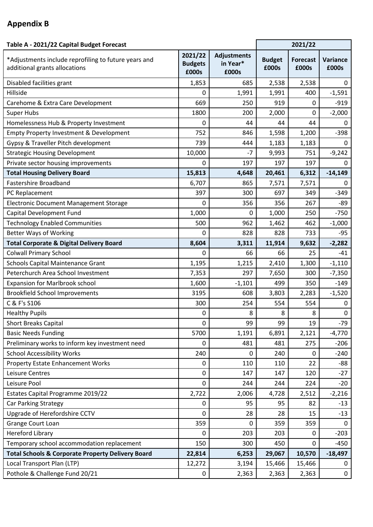## **Appendix B**

| Table A - 2021/22 Capital Budget Forecast                                             |                                    |                                         |                        | 2021/22                  |                   |
|---------------------------------------------------------------------------------------|------------------------------------|-----------------------------------------|------------------------|--------------------------|-------------------|
| *Adjustments include reprofiling to future years and<br>additional grants allocations | 2021/22<br><b>Budgets</b><br>£000s | <b>Adjustments</b><br>in Year*<br>£000s | <b>Budget</b><br>£000s | <b>Forecast</b><br>£000s | Variance<br>£000s |
| Disabled facilities grant                                                             | 1,853                              | 685                                     | 2,538                  | 2,538                    | $\mathbf 0$       |
| Hillside                                                                              | 0                                  | 1,991                                   | 1,991                  | 400                      | $-1,591$          |
| Carehome & Extra Care Development                                                     | 669                                | 250                                     | 919                    | 0                        | $-919$            |
| <b>Super Hubs</b>                                                                     | 1800                               | 200                                     | 2,000                  | 0                        | $-2,000$          |
| Homelessness Hub & Property Investment                                                | 0                                  | 44                                      | 44                     | 44                       | $\Omega$          |
| <b>Empty Property Investment &amp; Development</b>                                    | 752                                | 846                                     | 1,598                  | 1,200                    | $-398$            |
| Gypsy & Traveller Pitch development                                                   | 739                                | 444                                     | 1,183                  | 1,183                    | $\pmb{0}$         |
| <b>Strategic Housing Development</b>                                                  | 10,000                             | $-7$                                    | 9,993                  | 751                      | $-9,242$          |
| Private sector housing improvements                                                   | 0                                  | 197                                     | 197                    | 197                      | 0                 |
| <b>Total Housing Delivery Board</b>                                                   | 15,813                             | 4,648                                   | 20,461                 | 6,312                    | $-14,149$         |
| <b>Fastershire Broadband</b>                                                          | 6,707                              | 865                                     | 7,571                  | 7,571                    | 0                 |
| PC Replacement                                                                        | 397                                | 300                                     | 697                    | 349                      | $-349$            |
| <b>Electronic Document Management Storage</b>                                         | 0                                  | 356                                     | 356                    | 267                      | -89               |
| Capital Development Fund                                                              | 1,000                              | 0                                       | 1,000                  | 250                      | $-750$            |
| <b>Technology Enabled Communities</b>                                                 | 500                                | 962                                     | 1,462                  | 462                      | $-1,000$          |
| <b>Better Ways of Working</b>                                                         | 0                                  | 828                                     | 828                    | 733                      | $-95$             |
| <b>Total Corporate &amp; Digital Delivery Board</b>                                   | 8,604                              | 3,311                                   | 11,914                 | 9,632                    | $-2,282$          |
| <b>Colwall Primary School</b>                                                         | 0                                  | 66                                      | 66                     | 25                       | $-41$             |
| <b>Schools Capital Maintenance Grant</b>                                              | 1,195                              | 1,215                                   | 2,410                  | 1,300                    | $-1,110$          |
| Peterchurch Area School Investment                                                    | 7,353                              | 297                                     | 7,650                  | 300                      | $-7,350$          |
| <b>Expansion for Marlbrook school</b>                                                 | 1,600                              | $-1,101$                                | 499                    | 350                      | $-149$            |
| <b>Brookfield School Improvements</b>                                                 | 3195                               | 608                                     | 3,803                  | 2,283                    | $-1,520$          |
| C & F's S106                                                                          | 300                                | 254                                     | 554                    | 554                      | $\mathbf 0$       |
| <b>Healthy Pupils</b>                                                                 | 0                                  | 8                                       | 8                      | 8                        | $\boldsymbol{0}$  |
| <b>Short Breaks Capital</b>                                                           | 0                                  | 99                                      | 99                     | 19                       | $-79$             |
| <b>Basic Needs Funding</b>                                                            | 5700                               | 1,191                                   | 6,891                  | 2,121                    | $-4,770$          |
| Preliminary works to inform key investment need                                       | 0                                  | 481                                     | 481                    | 275                      | $-206$            |
| <b>School Accessibility Works</b>                                                     | 240                                | 0                                       | 240                    | 0                        | $-240$            |
| <b>Property Estate Enhancement Works</b>                                              | 0                                  | 110                                     | 110                    | 22                       | $-88$             |
| Leisure Centres                                                                       | 0                                  | 147                                     | 147                    | 120                      | $-27$             |
| Leisure Pool                                                                          | 0                                  | 244                                     | 244                    | 224                      | $-20$             |
| Estates Capital Programme 2019/22                                                     | 2,722                              | 2,006                                   | 4,728                  | 2,512                    | $-2,216$          |
| Car Parking Strategy                                                                  | 0                                  | 95                                      | 95                     | 82                       | $-13$             |
| Upgrade of Herefordshire CCTV                                                         | 0                                  | 28                                      | 28                     | 15                       | $-13$             |
| Grange Court Loan                                                                     | 359                                | 0                                       | 359                    | 359                      | $\Omega$          |
| <b>Hereford Library</b>                                                               | 0                                  | 203                                     | 203                    | 0                        | $-203$            |
| Temporary school accommodation replacement                                            | 150                                | 300                                     | 450                    | 0                        | $-450$            |
| <b>Total Schools &amp; Corporate Property Delivery Board</b>                          | 22,814                             | 6,253                                   | 29,067                 | 10,570                   | $-18,497$         |
| Local Transport Plan (LTP)                                                            | 12,272                             | 3,194                                   | 15,466                 | 15,466                   | 0                 |
| Pothole & Challenge Fund 20/21                                                        | 0                                  | 2,363                                   | 2,363                  | 2,363                    | $\pmb{0}$         |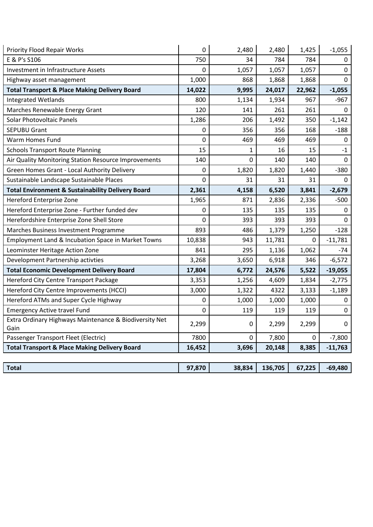| <b>Priority Flood Repair Works</b>                             | 0           | 2,480       | 2,480   | 1,425       | $-1,055$    |
|----------------------------------------------------------------|-------------|-------------|---------|-------------|-------------|
| E & P's S106                                                   | 750         | 34          | 784     | 784         | 0           |
| Investment in Infrastructure Assets                            | 0           | 1,057       | 1,057   | 1,057       | $\Omega$    |
| Highway asset management                                       | 1,000       | 868         | 1,868   | 1,868       | 0           |
| <b>Total Transport &amp; Place Making Delivery Board</b>       | 14,022      | 9,995       | 24,017  | 22,962      | $-1,055$    |
| <b>Integrated Wetlands</b>                                     | 800         | 1,134       | 1,934   | 967         | $-967$      |
| Marches Renewable Energy Grant                                 | 120         | 141         | 261     | 261         | 0           |
| <b>Solar Photovoltaic Panels</b>                               | 1,286       | 206         | 1,492   | 350         | $-1,142$    |
| <b>SEPUBU Grant</b>                                            | 0           | 356         | 356     | 168         | $-188$      |
| <b>Warm Homes Fund</b>                                         | 0           | 469         | 469     | 469         | 0           |
| <b>Schools Transport Route Planning</b>                        | 15          | 1           | 16      | 15          | $-1$        |
| Air Quality Monitoring Station Resource Improvements           | 140         | 0           | 140     | 140         | $\mathbf 0$ |
| Green Homes Grant - Local Authority Delivery                   | 0           | 1,820       | 1,820   | 1,440       | $-380$      |
| Sustainable Landscape Sustainable Places                       | $\mathbf 0$ | 31          | 31      | 31          | $\Omega$    |
| <b>Total Environment &amp; Sustainability Delivery Board</b>   | 2,361       | 4,158       | 6,520   | 3,841       | $-2,679$    |
| Hereford Enterprise Zone                                       | 1,965       | 871         | 2,836   | 2,336       | $-500$      |
| Hereford Enterprise Zone - Further funded dev                  | 0           | 135         | 135     | 135         | 0           |
| Herefordshire Enterprise Zone Shell Store                      | 0           | 393         | 393     | 393         | $\Omega$    |
| Marches Business Investment Programme                          | 893         | 486         | 1,379   | 1,250       | $-128$      |
| Employment Land & Incubation Space in Market Towns             | 10,838      | 943         | 11,781  | 0           | $-11,781$   |
| Leominster Heritage Action Zone                                | 841         | 295         | 1,136   | 1,062       | $-74$       |
| Development Partnership activties                              | 3,268       | 3,650       | 6,918   | 346         | $-6,572$    |
| <b>Total Economic Development Delivery Board</b>               | 17,804      | 6,772       | 24,576  | 5,522       | $-19,055$   |
| Hereford City Centre Transport Package                         | 3,353       | 1,256       | 4,609   | 1,834       | $-2,775$    |
| Hereford City Centre Improvements (HCCI)                       | 3,000       | 1,322       | 4322    | 3,133       | $-1,189$    |
| Hereford ATMs and Super Cycle Highway                          | 0           | 1,000       | 1,000   | 1,000       | 0           |
| <b>Emergency Active travel Fund</b>                            | 0           | 119         | 119     | 119         | $\mathbf 0$ |
| Extra Ordinary Highways Maintenance & Biodiversity Net<br>Gain | 2,299       | 0           | 2,299   | 2,299       | 0           |
| Passenger Transport Fleet (Electric)                           | 7800        | $\mathbf 0$ | 7,800   | $\mathbf 0$ | $-7,800$    |
| <b>Total Transport &amp; Place Making Delivery Board</b>       | 16,452      | 3,696       | 20,148  | 8,385       | $-11,763$   |
|                                                                |             |             |         |             |             |
| <b>Total</b>                                                   | 97,870      | 38,834      | 136,705 | 67,225      | $-69,480$   |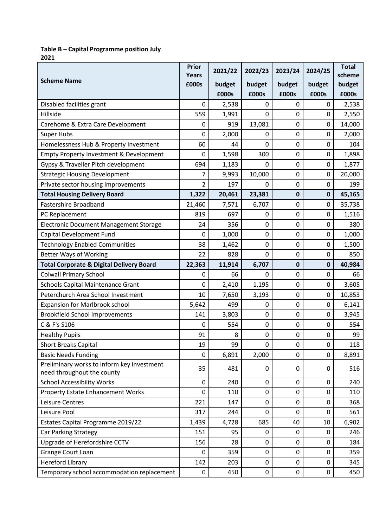## **Table B – Capital Programme position July**

**2021**

|                                                                          | <b>Prior</b><br><b>Years</b> | 2021/22 | 2022/23     | 2023/24     | 2024/25        | <b>Total</b><br>scheme |
|--------------------------------------------------------------------------|------------------------------|---------|-------------|-------------|----------------|------------------------|
| <b>Scheme Name</b>                                                       | £000s                        | budget  | budget      | budget      | budget         | budget                 |
|                                                                          |                              | £000s   | £000s       | £000s       | £000s          | £000s                  |
| Disabled facilities grant                                                | $\mathbf 0$                  | 2,538   | $\mathbf 0$ | $\Omega$    | 0              | 2,538                  |
| Hillside                                                                 | 559                          | 1,991   | $\mathbf 0$ | 0           | $\Omega$       | 2,550                  |
| Carehome & Extra Care Development                                        | $\mathbf 0$                  | 919     | 13,081      | $\mathbf 0$ | 0              | 14,000                 |
| <b>Super Hubs</b>                                                        | $\mathbf 0$                  | 2,000   | $\Omega$    | $\mathbf 0$ | 0              | 2,000                  |
| Homelessness Hub & Property Investment                                   | 60                           | 44      | $\mathbf 0$ | $\mathbf 0$ | 0              | 104                    |
| Empty Property Investment & Development                                  | $\mathbf 0$                  | 1,598   | 300         | $\mathbf 0$ | 0              | 1,898                  |
| Gypsy & Traveller Pitch development                                      | 694                          | 1,183   | $\Omega$    | $\mathbf 0$ | 0              | 1,877                  |
| <b>Strategic Housing Development</b>                                     | 7                            | 9,993   | 10,000      | $\mathbf 0$ | 0              | 20,000                 |
| Private sector housing improvements                                      | 2                            | 197     | $\Omega$    | $\mathbf 0$ | 0              | 199                    |
| <b>Total Housing Delivery Board</b>                                      | 1,322                        | 20,461  | 23,381      | $\mathbf 0$ | 0              | 45,165                 |
| <b>Fastershire Broadband</b>                                             | 21,460                       | 7,571   | 6,707       | $\mathbf 0$ | 0              | 35,738                 |
| PC Replacement                                                           | 819                          | 697     | $\mathbf 0$ | $\mathbf 0$ | 0              | 1,516                  |
| Electronic Document Management Storage                                   | 24                           | 356     | $\mathbf 0$ | $\mathbf 0$ | 0              | 380                    |
| Capital Development Fund                                                 | $\mathbf 0$                  | 1,000   | $\mathbf 0$ | $\mathbf 0$ | 0              | 1,000                  |
| <b>Technology Enabled Communities</b>                                    | 38                           | 1,462   | $\mathbf 0$ | $\mathbf 0$ | 0              | 1,500                  |
| <b>Better Ways of Working</b>                                            | 22                           | 828     | $\mathbf 0$ | $\mathbf 0$ | 0              | 850                    |
| <b>Total Corporate &amp; Digital Delivery Board</b>                      | 22,363                       | 11,914  | 6,707       | $\mathbf 0$ | 0              | 40,984                 |
| <b>Colwall Primary School</b>                                            | 0                            | 66      | $\Omega$    | $\mathbf 0$ | $\overline{0}$ | 66                     |
| <b>Schools Capital Maintenance Grant</b>                                 | $\mathbf 0$                  | 2,410   | 1,195       | $\mathbf 0$ | 0              | 3,605                  |
| Peterchurch Area School Investment                                       | 10                           | 7,650   | 3,193       | $\mathbf 0$ | 0              | 10,853                 |
| <b>Expansion for Marlbrook school</b>                                    | 5,642                        | 499     | $\mathbf 0$ | $\mathbf 0$ | 0              | 6,141                  |
| <b>Brookfield School Improvements</b>                                    | 141                          | 3,803   | $\mathbf 0$ | $\mathbf 0$ | 0              | 3,945                  |
| C & F's S106                                                             | 0                            | 554     | $\mathbf 0$ | $\mathbf 0$ | 0              | 554                    |
| <b>Healthy Pupils</b>                                                    | 91                           | 8       | $\mathbf 0$ | $\mathbf 0$ | 0              | 99                     |
| <b>Short Breaks Capital</b>                                              | 19                           | 99      | $\mathbf 0$ | $\pmb{0}$   | 0              | 118                    |
| <b>Basic Needs Funding</b>                                               | $\mathbf 0$                  | 6,891   | 2,000       | 0           | 0              | 8,891                  |
| Preliminary works to inform key investment<br>need throughout the county | 35                           | 481     | 0           | 0           | 0              | 516                    |
| <b>School Accessibility Works</b>                                        | $\mathbf 0$                  | 240     | $\mathbf 0$ | $\mathbf 0$ | 0              | 240                    |
| <b>Property Estate Enhancement Works</b>                                 | $\mathbf 0$                  | 110     | $\mathbf 0$ | 0           | $\Omega$       | 110                    |
| Leisure Centres                                                          | 221                          | 147     | $\mathbf 0$ | $\mathbf 0$ | 0              | 368                    |
| Leisure Pool                                                             | 317                          | 244     | $\mathbf 0$ | $\mathbf 0$ | 0              | 561                    |
| Estates Capital Programme 2019/22                                        | 1,439                        | 4,728   | 685         | 40          | 10             | 6,902                  |
| <b>Car Parking Strategy</b>                                              | 151                          | 95      | 0           | 0           | 0              | 246                    |
| Upgrade of Herefordshire CCTV                                            | 156                          | 28      | $\mathbf 0$ | $\mathbf 0$ | 0              | 184                    |
| Grange Court Loan                                                        | 0                            | 359     | $\mathbf 0$ | $\mathbf 0$ | $\Omega$       | 359                    |
| <b>Hereford Library</b>                                                  | 142                          | 203     | $\mathbf 0$ | $\mathbf 0$ | 0              | 345                    |
| Temporary school accommodation replacement                               | $\pmb{0}$                    | 450     | $\pmb{0}$   | $\mathbf 0$ | 0              | 450                    |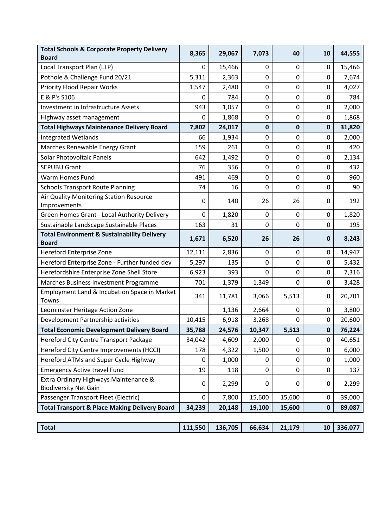| <b>Total Schools &amp; Corporate Property Delivery</b><br><b>Board</b> | 8,365            | 29,067  | 7,073       | 40          | 10          | 44,555  |
|------------------------------------------------------------------------|------------------|---------|-------------|-------------|-------------|---------|
| Local Transport Plan (LTP)                                             | $\mathbf 0$      | 15,466  | $\mathbf 0$ | 0           | $\mathbf 0$ | 15,466  |
| Pothole & Challenge Fund 20/21                                         | 5,311            | 2,363   | $\mathbf 0$ | 0           | $\mathbf 0$ | 7,674   |
| <b>Priority Flood Repair Works</b>                                     | 1,547            | 2,480   | $\mathbf 0$ | 0           | 0           | 4,027   |
| E & P's S106                                                           | $\mathbf 0$      | 784     | $\mathbf 0$ | $\pmb{0}$   | $\mathbf 0$ | 784     |
| <b>Investment in Infrastructure Assets</b>                             | 943              | 1,057   | $\mathbf 0$ | 0           | $\mathbf 0$ | 2,000   |
| Highway asset management                                               | 0                | 1,868   | $\mathbf 0$ | 0           | 0           | 1,868   |
| <b>Total Highways Maintenance Delivery Board</b>                       | 7,802            | 24,017  | $\mathbf 0$ | $\mathbf 0$ | $\mathbf 0$ | 31,820  |
| <b>Integrated Wetlands</b>                                             | 66               | 1,934   | $\mathbf 0$ | 0           | $\mathbf 0$ | 2,000   |
| Marches Renewable Energy Grant                                         | 159              | 261     | $\mathbf 0$ | 0           | 0           | 420     |
| <b>Solar Photovoltaic Panels</b>                                       | 642              | 1,492   | $\mathbf 0$ | $\pmb{0}$   | $\mathbf 0$ | 2,134   |
| <b>SEPUBU Grant</b>                                                    | 76               | 356     | $\mathbf 0$ | 0           | $\mathbf 0$ | 432     |
| Warm Homes Fund                                                        | 491              | 469     | $\mathbf 0$ | 0           | $\mathbf 0$ | 960     |
| <b>Schools Transport Route Planning</b>                                | 74               | 16      | $\mathbf 0$ | $\mathbf 0$ | $\mathbf 0$ | 90      |
| Air Quality Monitoring Station Resource<br>Improvements                | $\mathbf 0$      | 140     | 26          | 26          | 0           | 192     |
| Green Homes Grant - Local Authority Delivery                           | 0                | 1,820   | $\mathbf 0$ | 0           | 0           | 1,820   |
| Sustainable Landscape Sustainable Places                               | 163              | 31      | $\mathbf 0$ | $\mathbf 0$ | $\mathbf 0$ | 195     |
| <b>Total Environment &amp; Sustainability Delivery</b><br><b>Board</b> | 1,671            | 6,520   | 26          | 26          | $\mathbf 0$ | 8,243   |
| Hereford Enterprise Zone                                               | 12,111           | 2,836   | 0           | 0           | 0           | 14,947  |
| Hereford Enterprise Zone - Further funded dev                          | 5,297            | 135     | $\mathbf 0$ | $\mathbf 0$ | $\mathbf 0$ | 5,432   |
| Herefordshire Enterprise Zone Shell Store                              | 6,923            | 393     | $\mathbf 0$ | 0           | 0           | 7,316   |
| Marches Business Investment Programme                                  | 701              | 1,379   | 1,349       | 0           | 0           | 3,428   |
| Employment Land & Incubation Space in Market<br>Towns                  | 341              | 11,781  | 3,066       | 5,513       | 0           | 20,701  |
| Leominster Heritage Action Zone                                        |                  | 1,136   | 2,664       | 0           | $\mathbf 0$ | 3,800   |
| Development Partnership activities                                     | 10,415           | 6,918   | 3,268       | 0           | 0           | 20,600  |
| <b>Total Economic Development Delivery Board</b>                       | 35,788           | 24,576  | 10,347      | 5,513       | $\bf{0}$    | 76,224  |
| Hereford City Centre Transport Package                                 | 34,042           | 4,609   | 2,000       | 0           | $\mathbf 0$ | 40,651  |
| Hereford City Centre Improvements (HCCI)                               | 178              | 4,322   | 1,500       | 0           | 0           | 6,000   |
| Hereford ATMs and Super Cycle Highway                                  | $\boldsymbol{0}$ | 1,000   | 0           | 0           | 0           | 1,000   |
| <b>Emergency Active travel Fund</b>                                    | 19               | 118     | $\mathbf 0$ | 0           | 0           | 137     |
| Extra Ordinary Highways Maintenance &<br><b>Biodiversity Net Gain</b>  | $\mathbf 0$      | 2,299   | 0           | 0           | 0           | 2,299   |
| Passenger Transport Fleet (Electric)                                   | $\mathbf 0$      | 7,800   | 15,600      | 15,600      | $\pmb{0}$   | 39,000  |
| <b>Total Transport &amp; Place Making Delivery Board</b>               | 34,239           | 20,148  | 19,100      | 15,600      | $\pmb{0}$   | 89,087  |
| <b>Total</b>                                                           | 111,550          | 136,705 | 66,634      | 21,179      | 10          | 336,077 |